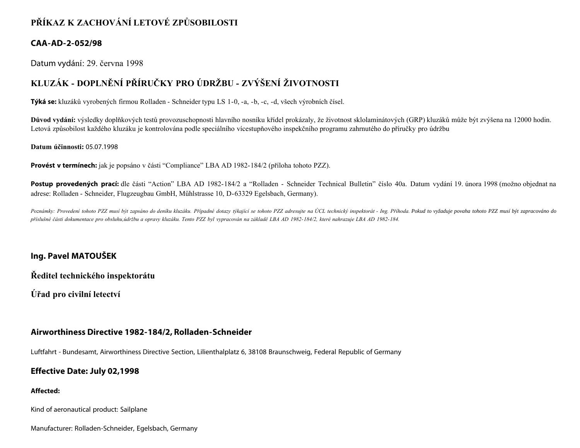# **PŘÍKAZ K ZACHOVÁNÍ LETOVÉ ZPŮSOBILOSTI**

## **CAA-AD-2-052/98**

Datum vydání: 29. června 1998

# **KLUZÁK - DOPLNĚNÍ PŘÍRUČKY PRO ÚDRŽBU - ZVÝŠENÍ ŽIVOTNOSTI**

**Týká se:** kluzáků vyrobených firmou Rolladen - Schneider typu LS 1-0, -a, -b, -c, -d, všech výrobních čísel.

**Důvod vydání:** výsledky doplňkových testů provozuschopnosti hlavního nosníku křídel prokázaly, že životnost sklolaminátových (GRP) kluzáků může být zvýšena na 12000 hodin. Letová způsobilost každého kluzáku je kontrolována podle speciálního vícestupňového inspekčního programu zahrnutého do příručky pro údržbu

#### **Datum účinnosti:** 05.07.1998

**Provést v termínech:** jak je popsáno v části "Compliance" LBA AD 1982-184/2 (příloha tohoto PZZ).

Postup provedených prací: dle části "Action" LBA AD 1982-184/2 a "Rolladen - Schneider Technical Bulletin" číslo 40a. Datum vydání 19. února 1998 (možno objednat na adrese: Rolladen - Schneider, Flugzeugbau GmbH, Műhlstrasse 10, D-63329 Egelsbach, Germany).

Poznámky: Provedení tohoto PZZ musí být zapsáno do deníku kluzáku. Případné dotazy týkající se tohoto PZZ adresujte na ÚCL technický inspektorát - Ing. Příhoda. Pokud to vyžaduje povaha tohoto PZZ musí být zapracováno do *příslušné části dokumentace pro obsluhu,údržbu a opravy kluzáku. Tento PZZ byl vypracován na základě LBA AD 1982-184/2, které nahrazuje LBA AD 1982-184.*

## **Ing. Pavel MATOUŠEK**

**Ředitel technického inspektorátu**

**Úřad pro civilní letectví**

## **Airworthiness Directive 1982-184/2, Rolladen-Schneider**

Luftfahrt - Bundesamt, Airworthiness Directive Section, Lilienthalplatz 6, 38108 Braunschweig, Federal Republic of Germany

## **Effective Date: July 02,1998**

### **Affected:**

Kind of aeronautical product: Sailplane

Manufacturer: Rolladen-Schneider, Egelsbach, Germany